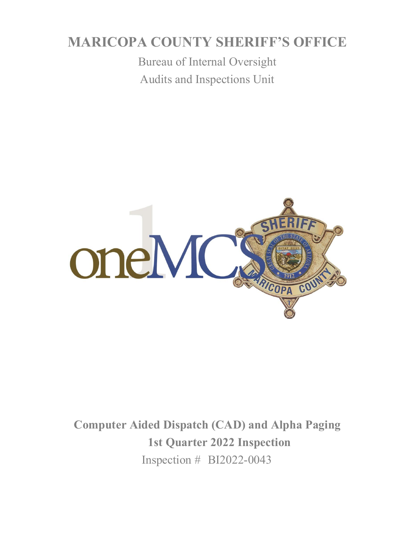# **MARICOPA COUNTY SHERIFF'S OFFICE**

Bureau of Internal Oversight Audits and Inspections Unit



**Computer Aided Dispatch (CAD) and Alpha Paging 1st Quarter 2022 Inspection**  Inspection # BI2022-0043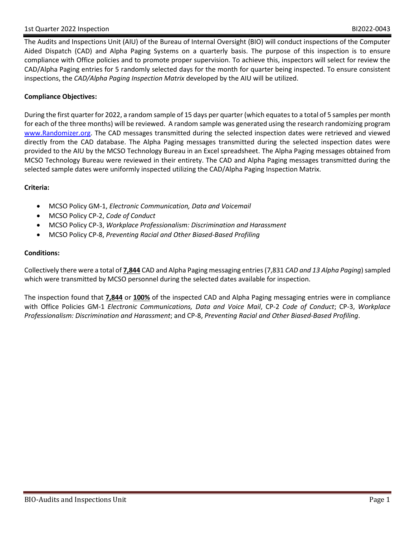The Audits and Inspections Unit (AIU) of the Bureau of Internal Oversight (BIO) will conduct inspections of the Computer Aided Dispatch (CAD) and Alpha Paging Systems on a quarterly basis. The purpose of this inspection is to ensure compliance with Office policies and to promote proper supervision. To achieve this, inspectors will select for review the CAD/Alpha Paging entries for 5 randomly selected days for the month for quarter being inspected. To ensure consistent inspections, the *CAD/Alpha Paging Inspection Matrix* developed by the AIU will be utilized.

## **Compliance Objectives:**

During the first quarter for 2022, a random sample of 15 days per quarter (which equates to a total of 5 samples per month for each of the three months) will be reviewed. A random sample was generated using the research randomizing program [www.Randomizer.org.](http://www.randomizer.org/) The CAD messages transmitted during the selected inspection dates were retrieved and viewed directly from the CAD database. The Alpha Paging messages transmitted during the selected inspection dates were provided to the AIU by the MCSO Technology Bureau in an Excel spreadsheet. The Alpha Paging messages obtained from MCSO Technology Bureau were reviewed in their entirety. The CAD and Alpha Paging messages transmitted during the selected sample dates were uniformly inspected utilizing the CAD/Alpha Paging Inspection Matrix.

### **Criteria:**

- MCSO Policy GM-1, *Electronic Communication, Data and Voicemail*
- MCSO Policy CP-2, *Code of Conduct*
- MCSO Policy CP-3, *Workplace Professionalism: Discrimination and Harassment*
- MCSO Policy CP-8, *Preventing Racial and Other Biased-Based Profiling*

#### **Conditions:**

Collectively there were a total of **7,844** CAD and Alpha Paging messaging entries (7,831 *CAD and 13 Alpha Paging*) sampled which were transmitted by MCSO personnel during the selected dates available for inspection.

The inspection found that **7,844** or **100%** of the inspected CAD and Alpha Paging messaging entries were in compliance with Office Policies GM-1 *Electronic Communications, Data and Voice Mail*, CP-2 *Code of Conduct*; CP-3, *Workplace Professionalism: Discrimination and Harassment*; and CP-8, *Preventing Racial and Other Biased-Based Profiling*.